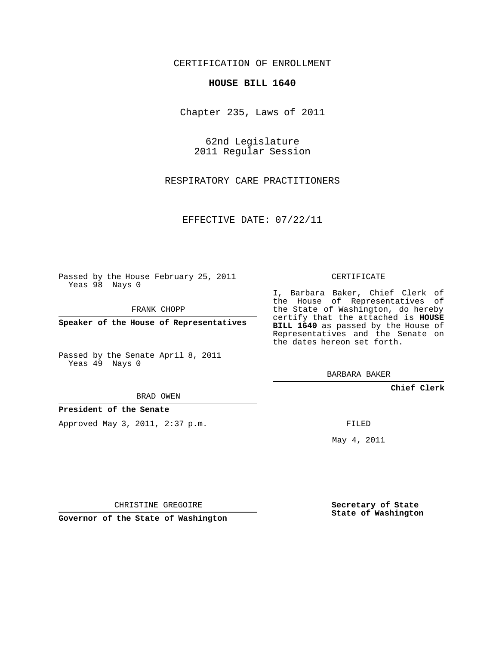## CERTIFICATION OF ENROLLMENT

## **HOUSE BILL 1640**

Chapter 235, Laws of 2011

62nd Legislature 2011 Regular Session

RESPIRATORY CARE PRACTITIONERS

EFFECTIVE DATE: 07/22/11

Passed by the House February 25, 2011 Yeas 98 Nays 0

FRANK CHOPP

**Speaker of the House of Representatives**

Passed by the Senate April 8, 2011 Yeas 49 Nays 0

BRAD OWEN

**President of the Senate**

Approved May 3, 2011, 2:37 p.m.

CERTIFICATE

I, Barbara Baker, Chief Clerk of the House of Representatives of the State of Washington, do hereby certify that the attached is **HOUSE BILL 1640** as passed by the House of Representatives and the Senate on the dates hereon set forth.

BARBARA BAKER

**Chief Clerk**

FILED

May 4, 2011

**Secretary of State State of Washington**

CHRISTINE GREGOIRE

**Governor of the State of Washington**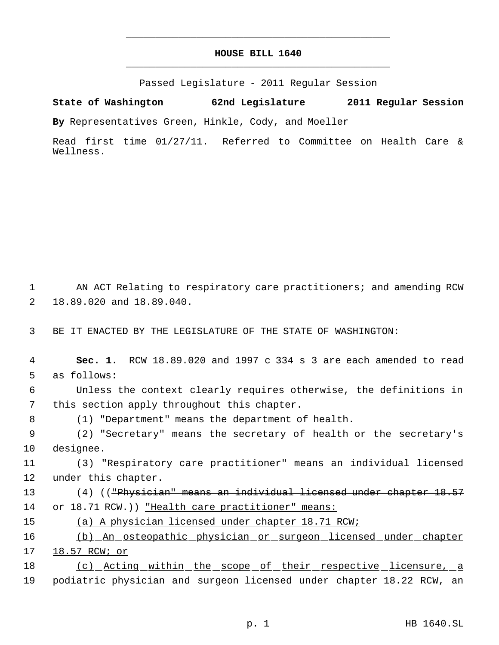## **HOUSE BILL 1640** \_\_\_\_\_\_\_\_\_\_\_\_\_\_\_\_\_\_\_\_\_\_\_\_\_\_\_\_\_\_\_\_\_\_\_\_\_\_\_\_\_\_\_\_\_

\_\_\_\_\_\_\_\_\_\_\_\_\_\_\_\_\_\_\_\_\_\_\_\_\_\_\_\_\_\_\_\_\_\_\_\_\_\_\_\_\_\_\_\_\_

Passed Legislature - 2011 Regular Session

**State of Washington 62nd Legislature 2011 Regular Session By** Representatives Green, Hinkle, Cody, and Moeller

Read first time 01/27/11. Referred to Committee on Health Care & Wellness.

 AN ACT Relating to respiratory care practitioners; and amending RCW 18.89.020 and 18.89.040.

BE IT ENACTED BY THE LEGISLATURE OF THE STATE OF WASHINGTON:

| 4  | Sec. 1. RCW 18.89.020 and 1997 c 334 s 3 are each amended to read    |
|----|----------------------------------------------------------------------|
| 5  | as follows:                                                          |
| 6  | Unless the context clearly requires otherwise, the definitions in    |
| 7  | this section apply throughout this chapter.                          |
| 8  | (1) "Department" means the department of health.                     |
| 9  | (2) "Secretary" means the secretary of health or the secretary's     |
| 10 | designee.                                                            |
| 11 | (3) "Respiratory care practitioner" means an individual licensed     |
| 12 | under this chapter.                                                  |
| 13 | (4) (("Physician" means an individual licensed under chapter 18.57   |
| 14 | or 18.71 RCW.)) "Health care practitioner" means:                    |
| 15 | (a) A physician licensed under chapter 18.71 RCW;                    |
| 16 | (b) An osteopathic physician or surgeon licensed under chapter       |
| 17 | 18.57 RCW; or                                                        |
| 18 | (c) Acting within the scope of their respective licensure, a         |
| 19 | podiatric physician and surgeon licensed under chapter 18.22 RCW, an |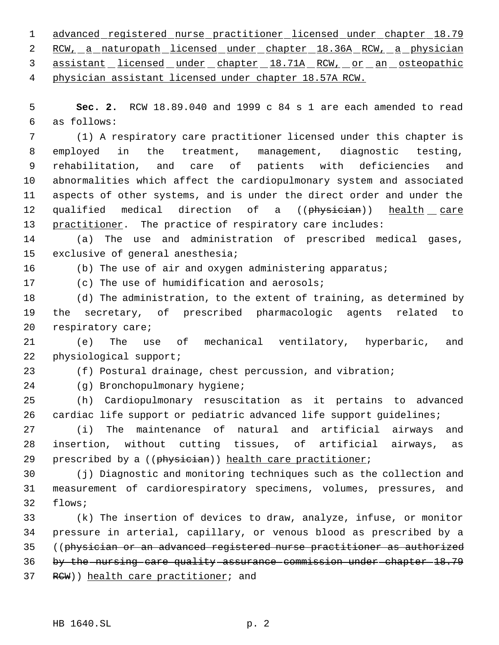advanced registered nurse practitioner licensed under chapter 18.79 2 RCW, a naturopath licensed under chapter 18.36A RCW, a physician 3 assistant licensed under chapter 18.71A RCW, or an osteopathic physician assistant licensed under chapter 18.57A RCW.

 **Sec. 2.** RCW 18.89.040 and 1999 c 84 s 1 are each amended to read as follows:

 (1) A respiratory care practitioner licensed under this chapter is employed in the treatment, management, diagnostic testing, rehabilitation, and care of patients with deficiencies and abnormalities which affect the cardiopulmonary system and associated aspects of other systems, and is under the direct order and under the 12 qualified medical direction of a ((physician)) health care practitioner. The practice of respiratory care includes:

 (a) The use and administration of prescribed medical gases, exclusive of general anesthesia;

16 (b) The use of air and oxygen administering apparatus;

(c) The use of humidification and aerosols;

 (d) The administration, to the extent of training, as determined by the secretary, of prescribed pharmacologic agents related to respiratory care;

 (e) The use of mechanical ventilatory, hyperbaric, and physiological support;

(f) Postural drainage, chest percussion, and vibration;

(g) Bronchopulmonary hygiene;

 (h) Cardiopulmonary resuscitation as it pertains to advanced 26 cardiac life support or pediatric advanced life support guidelines;

 (i) The maintenance of natural and artificial airways and insertion, without cutting tissues, of artificial airways, as 29 prescribed by a ((physician)) health care practitioner;

 (j) Diagnostic and monitoring techniques such as the collection and measurement of cardiorespiratory specimens, volumes, pressures, and flows;

 (k) The insertion of devices to draw, analyze, infuse, or monitor pressure in arterial, capillary, or venous blood as prescribed by a ((physician or an advanced registered nurse practitioner as authorized by the nursing care quality assurance commission under chapter 18.79 37 RCW)) health care practitioner; and